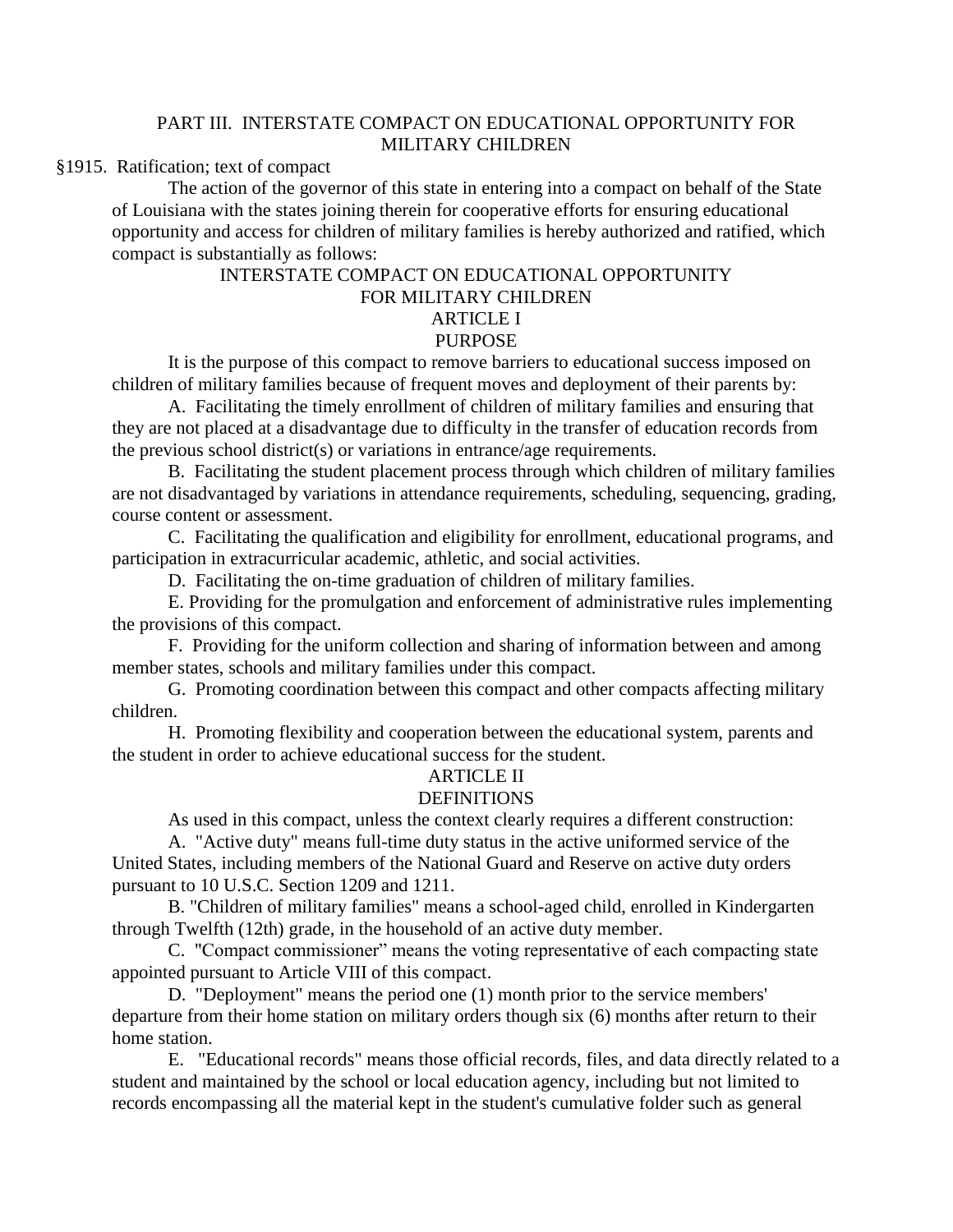# PART III. INTERSTATE COMPACT ON EDUCATIONAL OPPORTUNITY FOR MILITARY CHILDREN

# §1915. Ratification; text of compact

The action of the governor of this state in entering into a compact on behalf of the State of Louisiana with the states joining therein for cooperative efforts for ensuring educational opportunity and access for children of military families is hereby authorized and ratified, which compact is substantially as follows:

# INTERSTATE COMPACT ON EDUCATIONAL OPPORTUNITY FOR MILITARY CHILDREN ARTICLE I PURPOSE

It is the purpose of this compact to remove barriers to educational success imposed on children of military families because of frequent moves and deployment of their parents by:

A. Facilitating the timely enrollment of children of military families and ensuring that they are not placed at a disadvantage due to difficulty in the transfer of education records from the previous school district(s) or variations in entrance/age requirements.

B. Facilitating the student placement process through which children of military families are not disadvantaged by variations in attendance requirements, scheduling, sequencing, grading, course content or assessment.

C. Facilitating the qualification and eligibility for enrollment, educational programs, and participation in extracurricular academic, athletic, and social activities.

D. Facilitating the on-time graduation of children of military families.

E. Providing for the promulgation and enforcement of administrative rules implementing the provisions of this compact.

F. Providing for the uniform collection and sharing of information between and among member states, schools and military families under this compact.

G. Promoting coordination between this compact and other compacts affecting military children.

H. Promoting flexibility and cooperation between the educational system, parents and the student in order to achieve educational success for the student.

#### ARTICLE II

# DEFINITIONS

As used in this compact, unless the context clearly requires a different construction:

A. "Active duty" means full-time duty status in the active uniformed service of the United States, including members of the National Guard and Reserve on active duty orders pursuant to 10 U.S.C. Section 1209 and 1211.

B. "Children of military families" means a school-aged child, enrolled in Kindergarten through Twelfth (12th) grade, in the household of an active duty member.

C. "Compact commissioner" means the voting representative of each compacting state appointed pursuant to Article VIII of this compact.

D. "Deployment" means the period one (1) month prior to the service members' departure from their home station on military orders though six (6) months after return to their home station.

E. "Educational records" means those official records, files, and data directly related to a student and maintained by the school or local education agency, including but not limited to records encompassing all the material kept in the student's cumulative folder such as general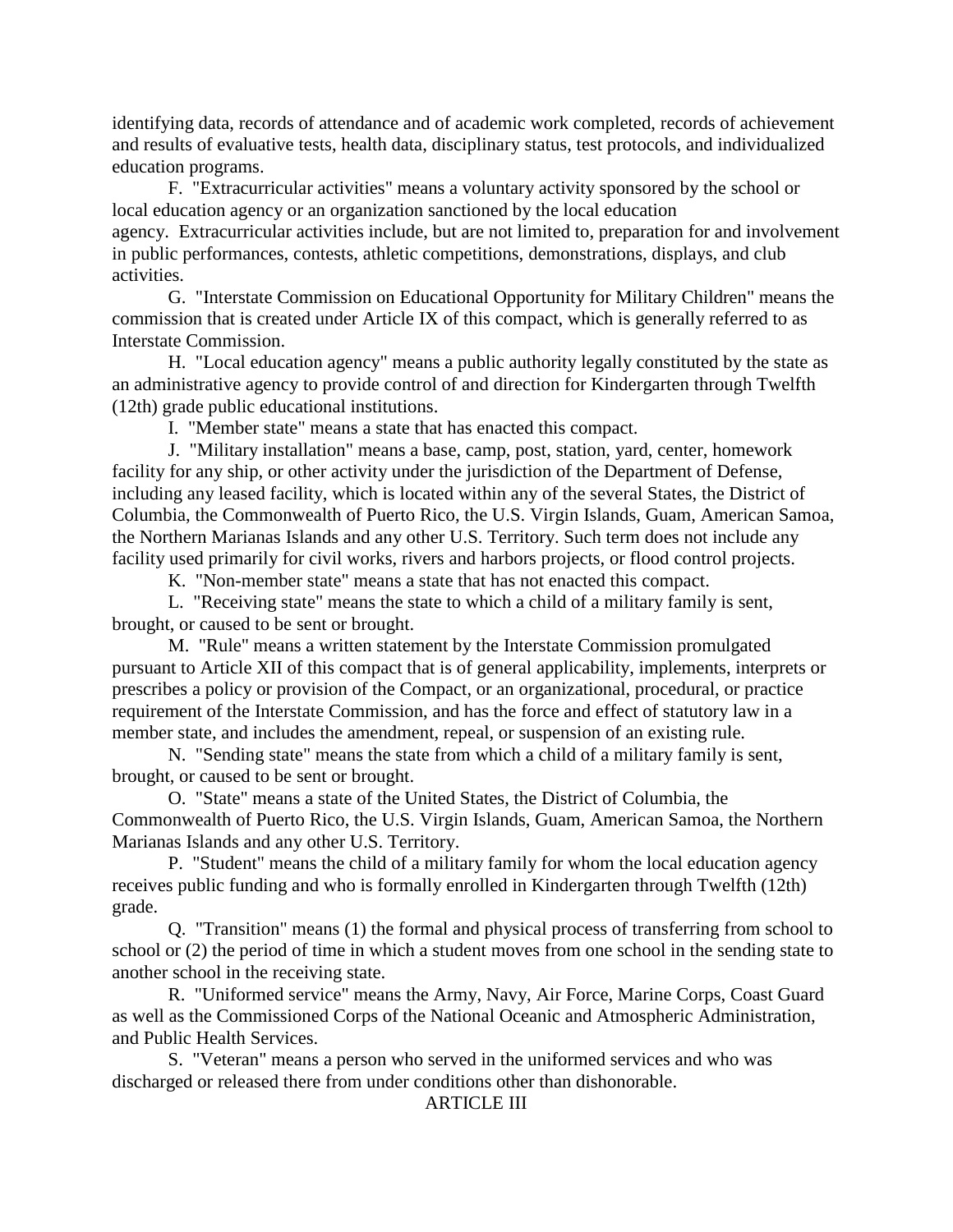identifying data, records of attendance and of academic work completed, records of achievement and results of evaluative tests, health data, disciplinary status, test protocols, and individualized education programs.

F. "Extracurricular activities" means a voluntary activity sponsored by the school or local education agency or an organization sanctioned by the local education agency. Extracurricular activities include, but are not limited to, preparation for and involvement in public performances, contests, athletic competitions, demonstrations, displays, and club activities.

G. "Interstate Commission on Educational Opportunity for Military Children" means the commission that is created under Article IX of this compact, which is generally referred to as Interstate Commission.

H. "Local education agency" means a public authority legally constituted by the state as an administrative agency to provide control of and direction for Kindergarten through Twelfth (12th) grade public educational institutions.

I. "Member state" means a state that has enacted this compact.

J. "Military installation" means a base, camp, post, station, yard, center, homework facility for any ship, or other activity under the jurisdiction of the Department of Defense, including any leased facility, which is located within any of the several States, the District of Columbia, the Commonwealth of Puerto Rico, the U.S. Virgin Islands, Guam, American Samoa, the Northern Marianas Islands and any other U.S. Territory. Such term does not include any facility used primarily for civil works, rivers and harbors projects, or flood control projects.

K. "Non-member state" means a state that has not enacted this compact.

L. "Receiving state" means the state to which a child of a military family is sent, brought, or caused to be sent or brought.

M. "Rule" means a written statement by the Interstate Commission promulgated pursuant to Article XII of this compact that is of general applicability, implements, interprets or prescribes a policy or provision of the Compact, or an organizational, procedural, or practice requirement of the Interstate Commission, and has the force and effect of statutory law in a member state, and includes the amendment, repeal, or suspension of an existing rule.

N. "Sending state" means the state from which a child of a military family is sent, brought, or caused to be sent or brought.

O. "State" means a state of the United States, the District of Columbia, the Commonwealth of Puerto Rico, the U.S. Virgin Islands, Guam, American Samoa, the Northern Marianas Islands and any other U.S. Territory.

P. "Student" means the child of a military family for whom the local education agency receives public funding and who is formally enrolled in Kindergarten through Twelfth (12th) grade.

Q. "Transition" means (1) the formal and physical process of transferring from school to school or (2) the period of time in which a student moves from one school in the sending state to another school in the receiving state.

R. "Uniformed service" means the Army, Navy, Air Force, Marine Corps, Coast Guard as well as the Commissioned Corps of the National Oceanic and Atmospheric Administration, and Public Health Services.

S. "Veteran" means a person who served in the uniformed services and who was discharged or released there from under conditions other than dishonorable.

# ARTICLE III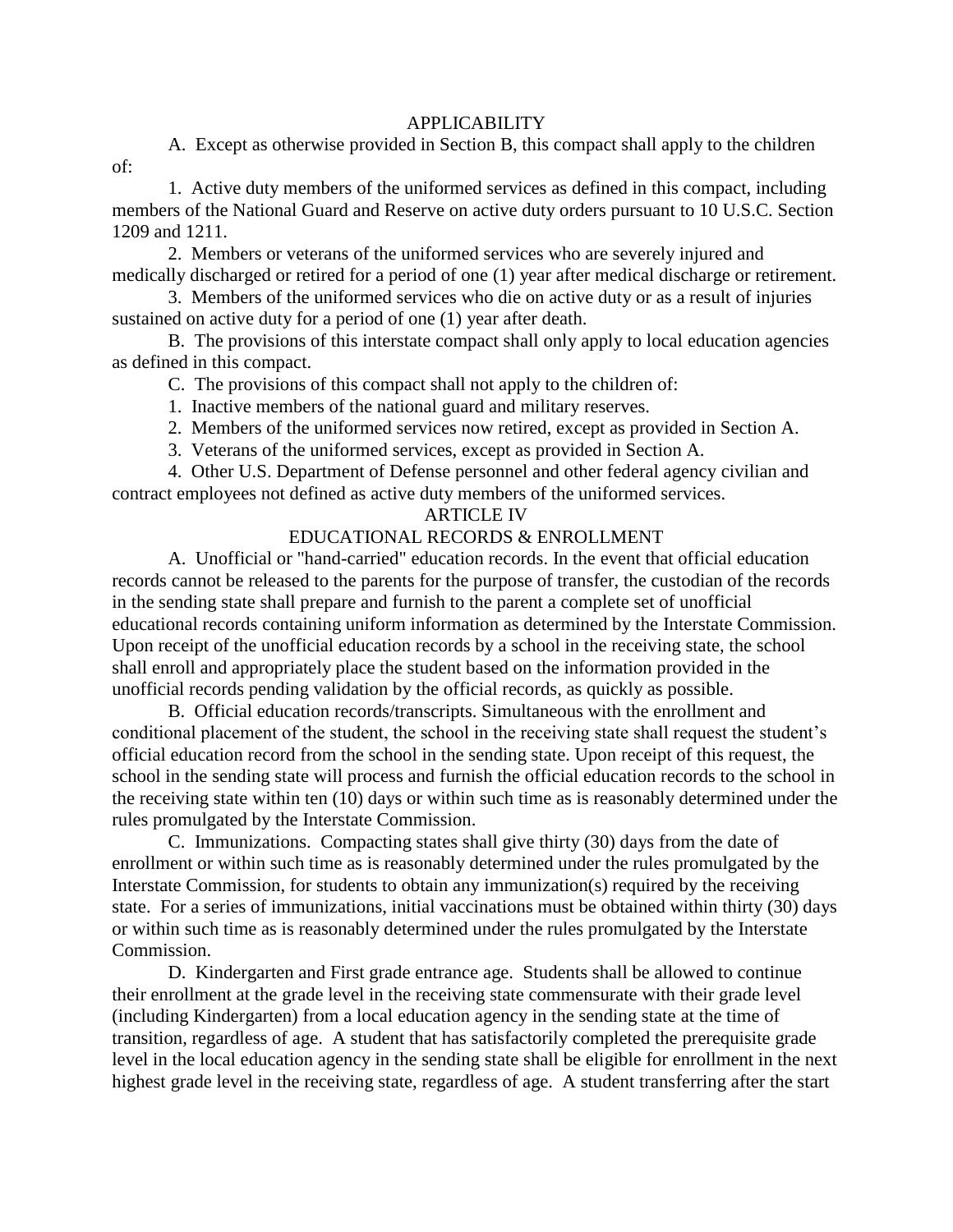## APPLICABILITY

A. Except as otherwise provided in Section B, this compact shall apply to the children

of:

1. Active duty members of the uniformed services as defined in this compact, including members of the National Guard and Reserve on active duty orders pursuant to 10 U.S.C. Section 1209 and 1211.

2. Members or veterans of the uniformed services who are severely injured and medically discharged or retired for a period of one (1) year after medical discharge or retirement.

3. Members of the uniformed services who die on active duty or as a result of injuries sustained on active duty for a period of one (1) year after death.

B. The provisions of this interstate compact shall only apply to local education agencies as defined in this compact.

C. The provisions of this compact shall not apply to the children of:

- 1. Inactive members of the national guard and military reserves.
- 2. Members of the uniformed services now retired, except as provided in Section A.
- 3. Veterans of the uniformed services, except as provided in Section A.

4. Other U.S. Department of Defense personnel and other federal agency civilian and contract employees not defined as active duty members of the uniformed services.

# ARTICLE IV

# EDUCATIONAL RECORDS & ENROLLMENT

A. Unofficial or "hand-carried" education records. In the event that official education records cannot be released to the parents for the purpose of transfer, the custodian of the records in the sending state shall prepare and furnish to the parent a complete set of unofficial educational records containing uniform information as determined by the Interstate Commission. Upon receipt of the unofficial education records by a school in the receiving state, the school shall enroll and appropriately place the student based on the information provided in the unofficial records pending validation by the official records, as quickly as possible.

B. Official education records/transcripts. Simultaneous with the enrollment and conditional placement of the student, the school in the receiving state shall request the student's official education record from the school in the sending state. Upon receipt of this request, the school in the sending state will process and furnish the official education records to the school in the receiving state within ten (10) days or within such time as is reasonably determined under the rules promulgated by the Interstate Commission.

C. Immunizations. Compacting states shall give thirty (30) days from the date of enrollment or within such time as is reasonably determined under the rules promulgated by the Interstate Commission, for students to obtain any immunization(s) required by the receiving state. For a series of immunizations, initial vaccinations must be obtained within thirty (30) days or within such time as is reasonably determined under the rules promulgated by the Interstate Commission.

D. Kindergarten and First grade entrance age. Students shall be allowed to continue their enrollment at the grade level in the receiving state commensurate with their grade level (including Kindergarten) from a local education agency in the sending state at the time of transition, regardless of age. A student that has satisfactorily completed the prerequisite grade level in the local education agency in the sending state shall be eligible for enrollment in the next highest grade level in the receiving state, regardless of age. A student transferring after the start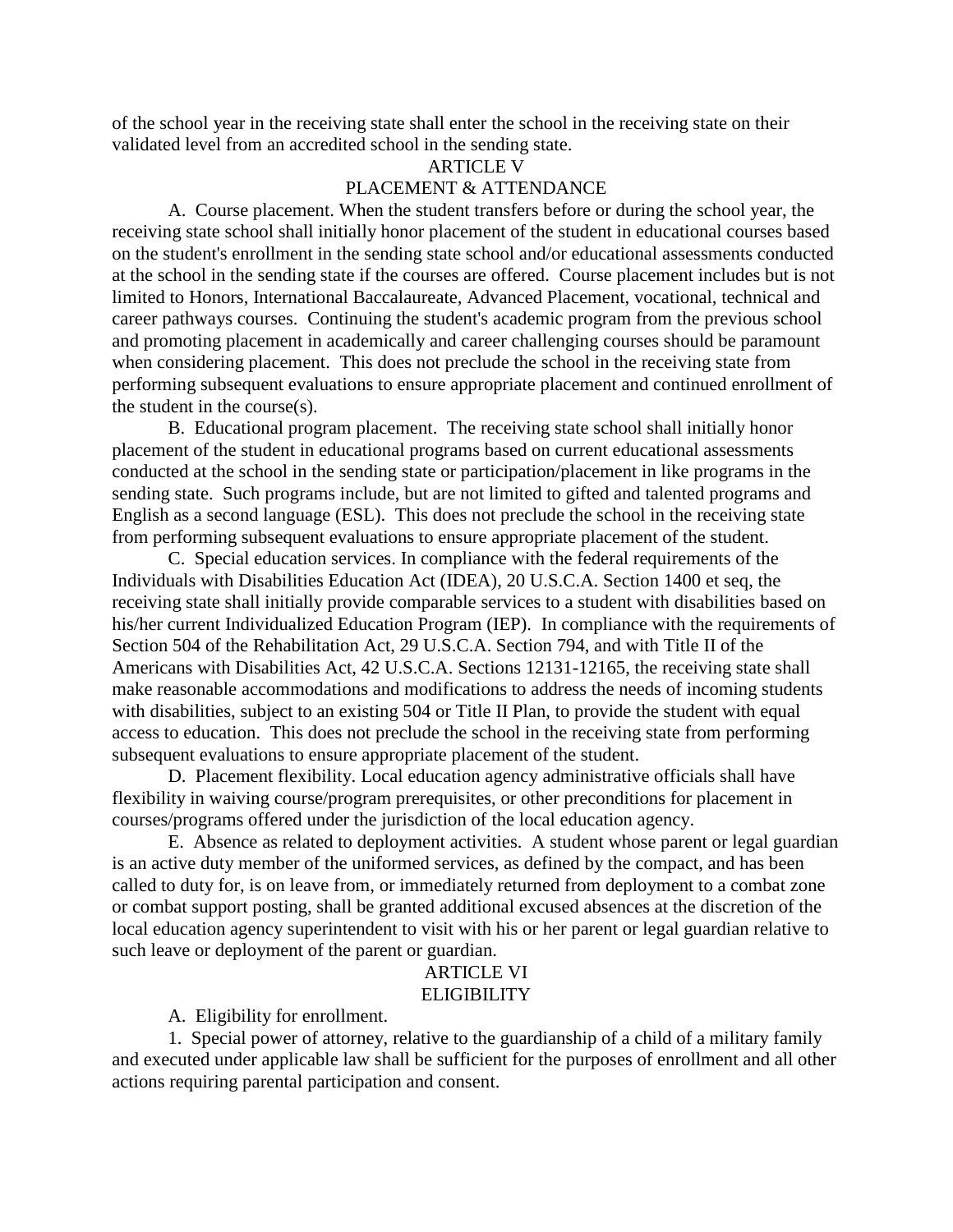of the school year in the receiving state shall enter the school in the receiving state on their validated level from an accredited school in the sending state.

#### ARTICLE V

# PLACEMENT & ATTENDANCE

A. Course placement. When the student transfers before or during the school year, the receiving state school shall initially honor placement of the student in educational courses based on the student's enrollment in the sending state school and/or educational assessments conducted at the school in the sending state if the courses are offered. Course placement includes but is not limited to Honors, International Baccalaureate, Advanced Placement, vocational, technical and career pathways courses. Continuing the student's academic program from the previous school and promoting placement in academically and career challenging courses should be paramount when considering placement. This does not preclude the school in the receiving state from performing subsequent evaluations to ensure appropriate placement and continued enrollment of the student in the course(s).

B. Educational program placement. The receiving state school shall initially honor placement of the student in educational programs based on current educational assessments conducted at the school in the sending state or participation/placement in like programs in the sending state. Such programs include, but are not limited to gifted and talented programs and English as a second language (ESL). This does not preclude the school in the receiving state from performing subsequent evaluations to ensure appropriate placement of the student.

C. Special education services. In compliance with the federal requirements of the Individuals with Disabilities Education Act (IDEA), 20 U.S.C.A. Section 1400 et seq, the receiving state shall initially provide comparable services to a student with disabilities based on his/her current Individualized Education Program (IEP). In compliance with the requirements of Section 504 of the Rehabilitation Act, 29 U.S.C.A. Section 794, and with Title II of the Americans with Disabilities Act, 42 U.S.C.A. Sections 12131-12165, the receiving state shall make reasonable accommodations and modifications to address the needs of incoming students with disabilities, subject to an existing 504 or Title II Plan, to provide the student with equal access to education. This does not preclude the school in the receiving state from performing subsequent evaluations to ensure appropriate placement of the student.

D. Placement flexibility. Local education agency administrative officials shall have flexibility in waiving course/program prerequisites, or other preconditions for placement in courses/programs offered under the jurisdiction of the local education agency.

E. Absence as related to deployment activities. A student whose parent or legal guardian is an active duty member of the uniformed services, as defined by the compact, and has been called to duty for, is on leave from, or immediately returned from deployment to a combat zone or combat support posting, shall be granted additional excused absences at the discretion of the local education agency superintendent to visit with his or her parent or legal guardian relative to such leave or deployment of the parent or guardian.

## ARTICLE VI **ELIGIBILITY**

A. Eligibility for enrollment.

1. Special power of attorney, relative to the guardianship of a child of a military family and executed under applicable law shall be sufficient for the purposes of enrollment and all other actions requiring parental participation and consent.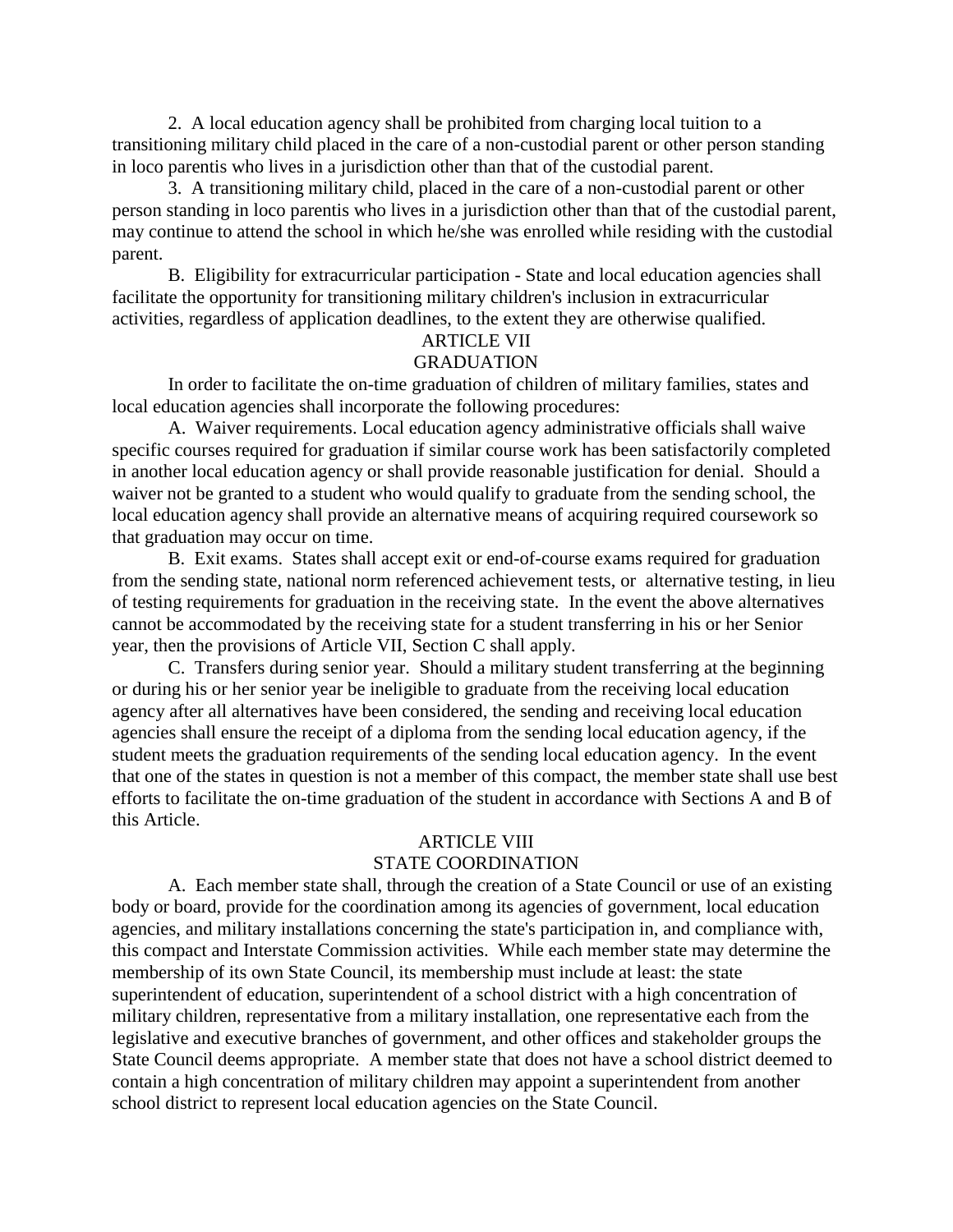2. A local education agency shall be prohibited from charging local tuition to a transitioning military child placed in the care of a non-custodial parent or other person standing in loco parentis who lives in a jurisdiction other than that of the custodial parent.

3. A transitioning military child, placed in the care of a non-custodial parent or other person standing in loco parentis who lives in a jurisdiction other than that of the custodial parent, may continue to attend the school in which he/she was enrolled while residing with the custodial parent.

B. Eligibility for extracurricular participation - State and local education agencies shall facilitate the opportunity for transitioning military children's inclusion in extracurricular activities, regardless of application deadlines, to the extent they are otherwise qualified.

# ARTICLE VII

### GRADUATION

In order to facilitate the on-time graduation of children of military families, states and local education agencies shall incorporate the following procedures:

A. Waiver requirements. Local education agency administrative officials shall waive specific courses required for graduation if similar course work has been satisfactorily completed in another local education agency or shall provide reasonable justification for denial. Should a waiver not be granted to a student who would qualify to graduate from the sending school, the local education agency shall provide an alternative means of acquiring required coursework so that graduation may occur on time.

B. Exit exams. States shall accept exit or end-of-course exams required for graduation from the sending state, national norm referenced achievement tests, or alternative testing, in lieu of testing requirements for graduation in the receiving state. In the event the above alternatives cannot be accommodated by the receiving state for a student transferring in his or her Senior year, then the provisions of Article VII, Section C shall apply.

C. Transfers during senior year. Should a military student transferring at the beginning or during his or her senior year be ineligible to graduate from the receiving local education agency after all alternatives have been considered, the sending and receiving local education agencies shall ensure the receipt of a diploma from the sending local education agency, if the student meets the graduation requirements of the sending local education agency. In the event that one of the states in question is not a member of this compact, the member state shall use best efforts to facilitate the on-time graduation of the student in accordance with Sections A and B of this Article.

#### ARTICLE VIII

#### STATE COORDINATION

A. Each member state shall, through the creation of a State Council or use of an existing body or board, provide for the coordination among its agencies of government, local education agencies, and military installations concerning the state's participation in, and compliance with, this compact and Interstate Commission activities. While each member state may determine the membership of its own State Council, its membership must include at least: the state superintendent of education, superintendent of a school district with a high concentration of military children, representative from a military installation, one representative each from the legislative and executive branches of government, and other offices and stakeholder groups the State Council deems appropriate. A member state that does not have a school district deemed to contain a high concentration of military children may appoint a superintendent from another school district to represent local education agencies on the State Council.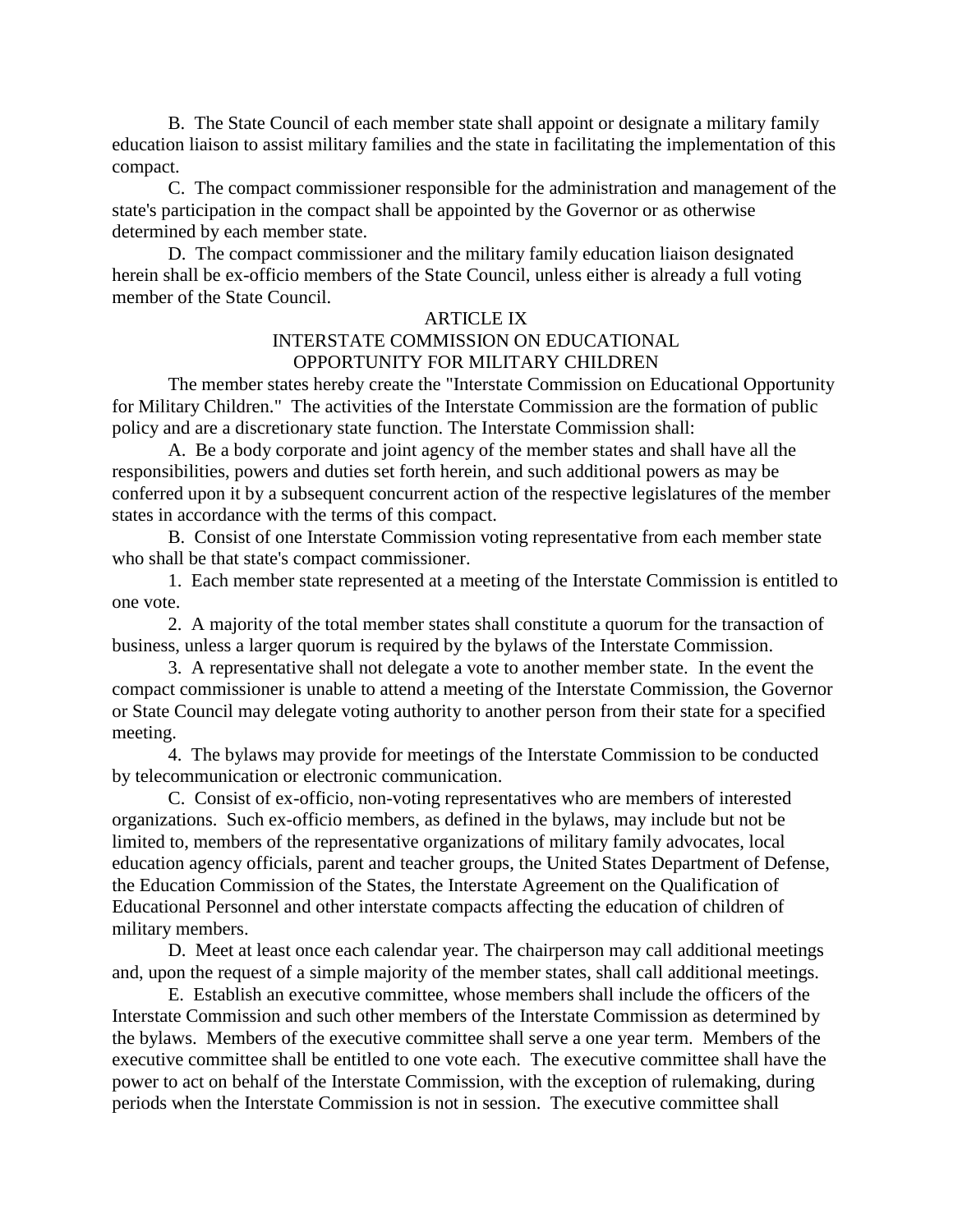B. The State Council of each member state shall appoint or designate a military family education liaison to assist military families and the state in facilitating the implementation of this compact.

C. The compact commissioner responsible for the administration and management of the state's participation in the compact shall be appointed by the Governor or as otherwise determined by each member state.

D. The compact commissioner and the military family education liaison designated herein shall be ex-officio members of the State Council, unless either is already a full voting member of the State Council.

### ARTICLE IX INTERSTATE COMMISSION ON EDUCATIONAL OPPORTUNITY FOR MILITARY CHILDREN

The member states hereby create the "Interstate Commission on Educational Opportunity for Military Children." The activities of the Interstate Commission are the formation of public policy and are a discretionary state function. The Interstate Commission shall:

A. Be a body corporate and joint agency of the member states and shall have all the responsibilities, powers and duties set forth herein, and such additional powers as may be conferred upon it by a subsequent concurrent action of the respective legislatures of the member states in accordance with the terms of this compact.

B. Consist of one Interstate Commission voting representative from each member state who shall be that state's compact commissioner.

1. Each member state represented at a meeting of the Interstate Commission is entitled to one vote.

2. A majority of the total member states shall constitute a quorum for the transaction of business, unless a larger quorum is required by the bylaws of the Interstate Commission.

3. A representative shall not delegate a vote to another member state. In the event the compact commissioner is unable to attend a meeting of the Interstate Commission, the Governor or State Council may delegate voting authority to another person from their state for a specified meeting.

4. The bylaws may provide for meetings of the Interstate Commission to be conducted by telecommunication or electronic communication.

C. Consist of ex-officio, non-voting representatives who are members of interested organizations. Such ex-officio members, as defined in the bylaws, may include but not be limited to, members of the representative organizations of military family advocates, local education agency officials, parent and teacher groups, the United States Department of Defense, the Education Commission of the States, the Interstate Agreement on the Qualification of Educational Personnel and other interstate compacts affecting the education of children of military members.

D. Meet at least once each calendar year. The chairperson may call additional meetings and, upon the request of a simple majority of the member states, shall call additional meetings.

E. Establish an executive committee, whose members shall include the officers of the Interstate Commission and such other members of the Interstate Commission as determined by the bylaws. Members of the executive committee shall serve a one year term. Members of the executive committee shall be entitled to one vote each. The executive committee shall have the power to act on behalf of the Interstate Commission, with the exception of rulemaking, during periods when the Interstate Commission is not in session. The executive committee shall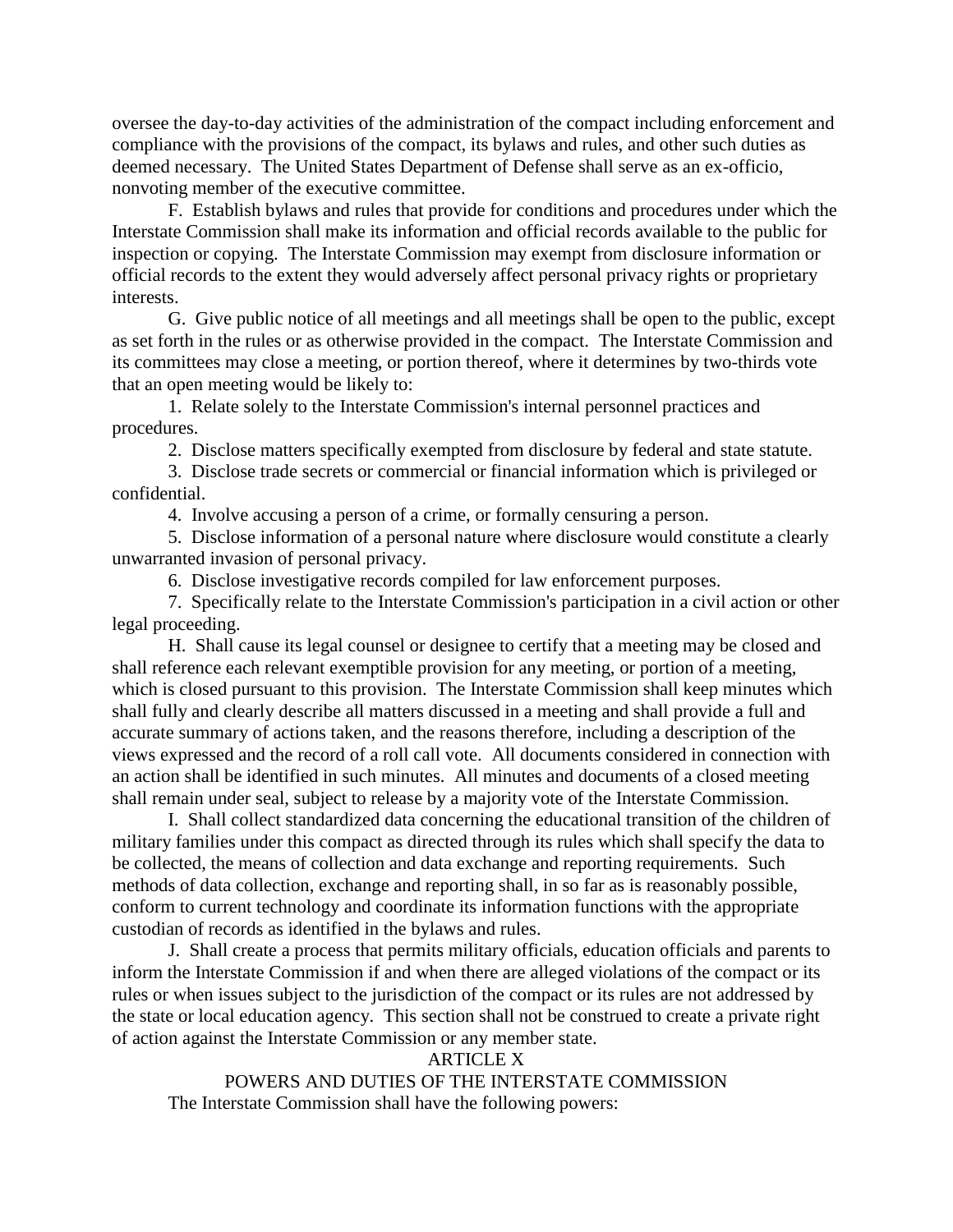oversee the day-to-day activities of the administration of the compact including enforcement and compliance with the provisions of the compact, its bylaws and rules, and other such duties as deemed necessary. The United States Department of Defense shall serve as an ex-officio, nonvoting member of the executive committee.

F. Establish bylaws and rules that provide for conditions and procedures under which the Interstate Commission shall make its information and official records available to the public for inspection or copying. The Interstate Commission may exempt from disclosure information or official records to the extent they would adversely affect personal privacy rights or proprietary interests.

G. Give public notice of all meetings and all meetings shall be open to the public, except as set forth in the rules or as otherwise provided in the compact. The Interstate Commission and its committees may close a meeting, or portion thereof, where it determines by two-thirds vote that an open meeting would be likely to:

1. Relate solely to the Interstate Commission's internal personnel practices and procedures.

2. Disclose matters specifically exempted from disclosure by federal and state statute.

3. Disclose trade secrets or commercial or financial information which is privileged or confidential.

4. Involve accusing a person of a crime, or formally censuring a person.

5. Disclose information of a personal nature where disclosure would constitute a clearly unwarranted invasion of personal privacy.

6. Disclose investigative records compiled for law enforcement purposes.

7. Specifically relate to the Interstate Commission's participation in a civil action or other legal proceeding.

H. Shall cause its legal counsel or designee to certify that a meeting may be closed and shall reference each relevant exemptible provision for any meeting, or portion of a meeting, which is closed pursuant to this provision. The Interstate Commission shall keep minutes which shall fully and clearly describe all matters discussed in a meeting and shall provide a full and accurate summary of actions taken, and the reasons therefore, including a description of the views expressed and the record of a roll call vote. All documents considered in connection with an action shall be identified in such minutes. All minutes and documents of a closed meeting shall remain under seal, subject to release by a majority vote of the Interstate Commission.

I. Shall collect standardized data concerning the educational transition of the children of military families under this compact as directed through its rules which shall specify the data to be collected, the means of collection and data exchange and reporting requirements. Such methods of data collection, exchange and reporting shall, in so far as is reasonably possible, conform to current technology and coordinate its information functions with the appropriate custodian of records as identified in the bylaws and rules.

J. Shall create a process that permits military officials, education officials and parents to inform the Interstate Commission if and when there are alleged violations of the compact or its rules or when issues subject to the jurisdiction of the compact or its rules are not addressed by the state or local education agency. This section shall not be construed to create a private right of action against the Interstate Commission or any member state.

# ARTICLE X

POWERS AND DUTIES OF THE INTERSTATE COMMISSION The Interstate Commission shall have the following powers: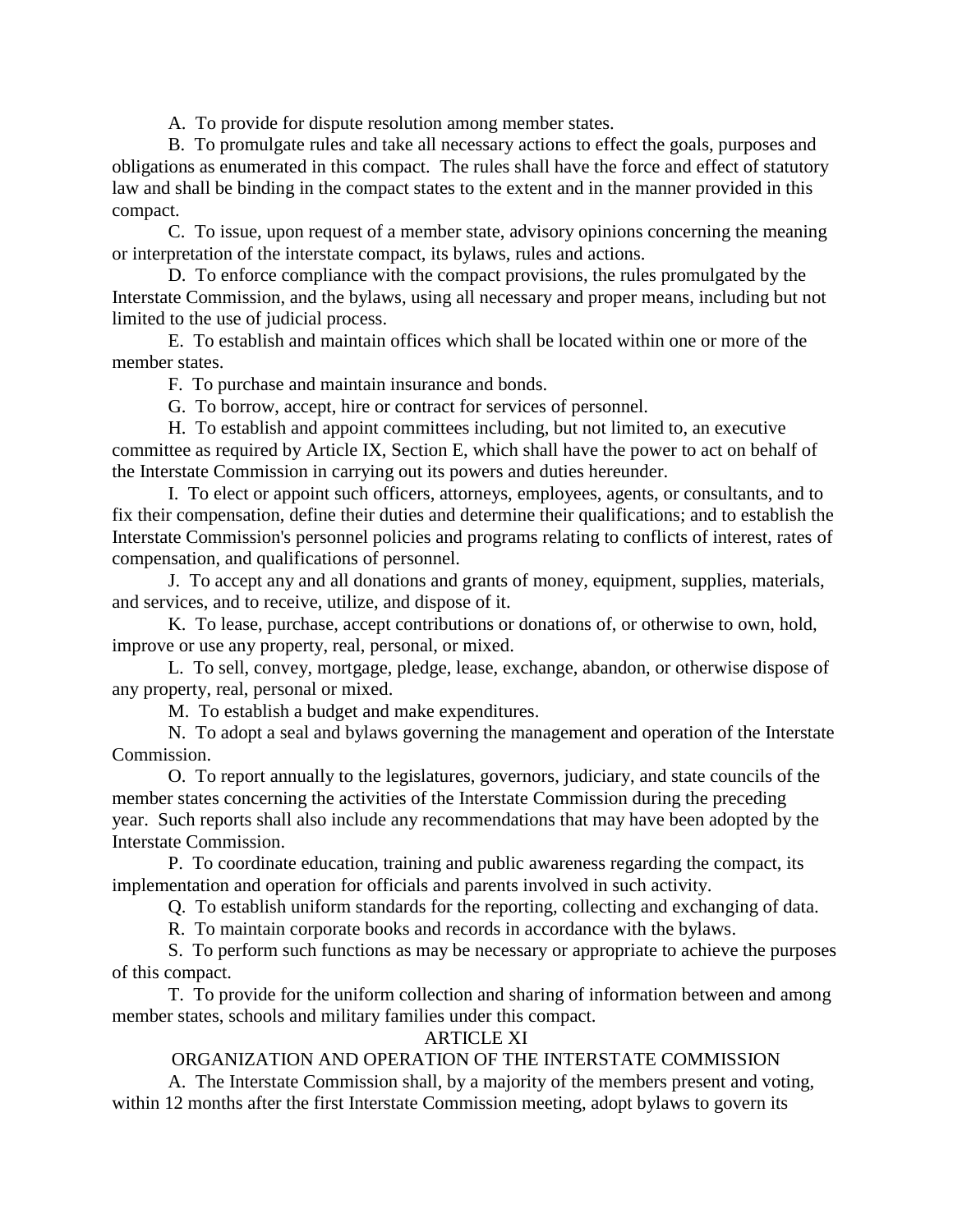A. To provide for dispute resolution among member states.

B. To promulgate rules and take all necessary actions to effect the goals, purposes and obligations as enumerated in this compact. The rules shall have the force and effect of statutory law and shall be binding in the compact states to the extent and in the manner provided in this compact.

C. To issue, upon request of a member state, advisory opinions concerning the meaning or interpretation of the interstate compact, its bylaws, rules and actions.

D. To enforce compliance with the compact provisions, the rules promulgated by the Interstate Commission, and the bylaws, using all necessary and proper means, including but not limited to the use of judicial process.

E. To establish and maintain offices which shall be located within one or more of the member states.

F. To purchase and maintain insurance and bonds.

G. To borrow, accept, hire or contract for services of personnel.

H. To establish and appoint committees including, but not limited to, an executive committee as required by Article IX, Section E, which shall have the power to act on behalf of the Interstate Commission in carrying out its powers and duties hereunder.

I. To elect or appoint such officers, attorneys, employees, agents, or consultants, and to fix their compensation, define their duties and determine their qualifications; and to establish the Interstate Commission's personnel policies and programs relating to conflicts of interest, rates of compensation, and qualifications of personnel.

J. To accept any and all donations and grants of money, equipment, supplies, materials, and services, and to receive, utilize, and dispose of it.

K. To lease, purchase, accept contributions or donations of, or otherwise to own, hold, improve or use any property, real, personal, or mixed.

L. To sell, convey, mortgage, pledge, lease, exchange, abandon, or otherwise dispose of any property, real, personal or mixed.

M. To establish a budget and make expenditures.

N. To adopt a seal and bylaws governing the management and operation of the Interstate Commission.

O. To report annually to the legislatures, governors, judiciary, and state councils of the member states concerning the activities of the Interstate Commission during the preceding year. Such reports shall also include any recommendations that may have been adopted by the Interstate Commission.

P. To coordinate education, training and public awareness regarding the compact, its implementation and operation for officials and parents involved in such activity.

Q. To establish uniform standards for the reporting, collecting and exchanging of data.

R. To maintain corporate books and records in accordance with the bylaws.

S. To perform such functions as may be necessary or appropriate to achieve the purposes of this compact.

T. To provide for the uniform collection and sharing of information between and among member states, schools and military families under this compact.

# ARTICLE XI

# ORGANIZATION AND OPERATION OF THE INTERSTATE COMMISSION

A. The Interstate Commission shall, by a majority of the members present and voting, within 12 months after the first Interstate Commission meeting, adopt bylaws to govern its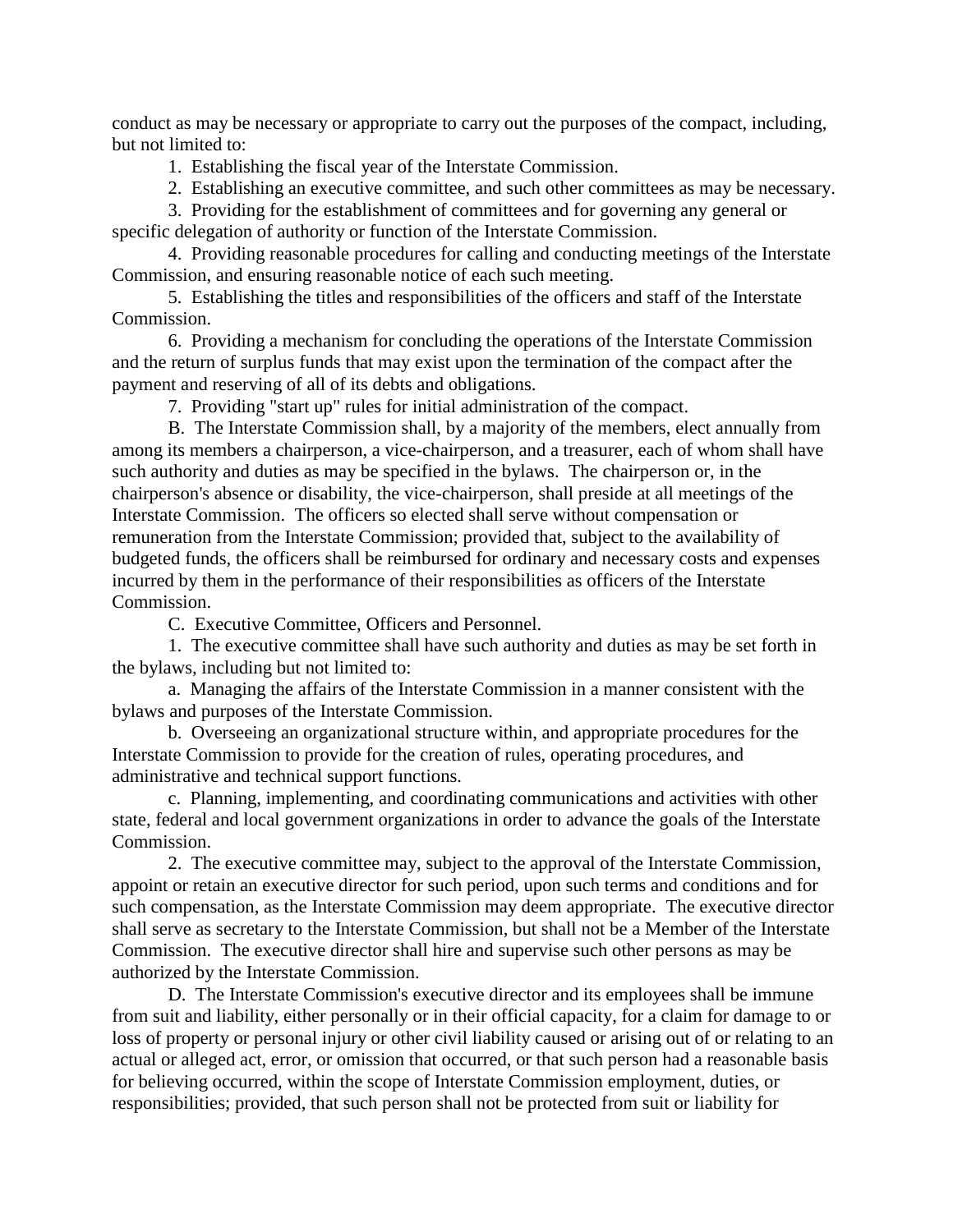conduct as may be necessary or appropriate to carry out the purposes of the compact, including, but not limited to:

1. Establishing the fiscal year of the Interstate Commission.

2. Establishing an executive committee, and such other committees as may be necessary.

3. Providing for the establishment of committees and for governing any general or specific delegation of authority or function of the Interstate Commission.

4. Providing reasonable procedures for calling and conducting meetings of the Interstate Commission, and ensuring reasonable notice of each such meeting.

5. Establishing the titles and responsibilities of the officers and staff of the Interstate Commission.

6. Providing a mechanism for concluding the operations of the Interstate Commission and the return of surplus funds that may exist upon the termination of the compact after the payment and reserving of all of its debts and obligations.

7. Providing "start up" rules for initial administration of the compact.

B. The Interstate Commission shall, by a majority of the members, elect annually from among its members a chairperson, a vice-chairperson, and a treasurer, each of whom shall have such authority and duties as may be specified in the bylaws. The chairperson or, in the chairperson's absence or disability, the vice-chairperson, shall preside at all meetings of the Interstate Commission. The officers so elected shall serve without compensation or remuneration from the Interstate Commission; provided that, subject to the availability of budgeted funds, the officers shall be reimbursed for ordinary and necessary costs and expenses incurred by them in the performance of their responsibilities as officers of the Interstate Commission.

C. Executive Committee, Officers and Personnel.

1. The executive committee shall have such authority and duties as may be set forth in the bylaws, including but not limited to:

a. Managing the affairs of the Interstate Commission in a manner consistent with the bylaws and purposes of the Interstate Commission.

b. Overseeing an organizational structure within, and appropriate procedures for the Interstate Commission to provide for the creation of rules, operating procedures, and administrative and technical support functions.

c. Planning, implementing, and coordinating communications and activities with other state, federal and local government organizations in order to advance the goals of the Interstate Commission.

2. The executive committee may, subject to the approval of the Interstate Commission, appoint or retain an executive director for such period, upon such terms and conditions and for such compensation, as the Interstate Commission may deem appropriate. The executive director shall serve as secretary to the Interstate Commission, but shall not be a Member of the Interstate Commission. The executive director shall hire and supervise such other persons as may be authorized by the Interstate Commission.

D. The Interstate Commission's executive director and its employees shall be immune from suit and liability, either personally or in their official capacity, for a claim for damage to or loss of property or personal injury or other civil liability caused or arising out of or relating to an actual or alleged act, error, or omission that occurred, or that such person had a reasonable basis for believing occurred, within the scope of Interstate Commission employment, duties, or responsibilities; provided, that such person shall not be protected from suit or liability for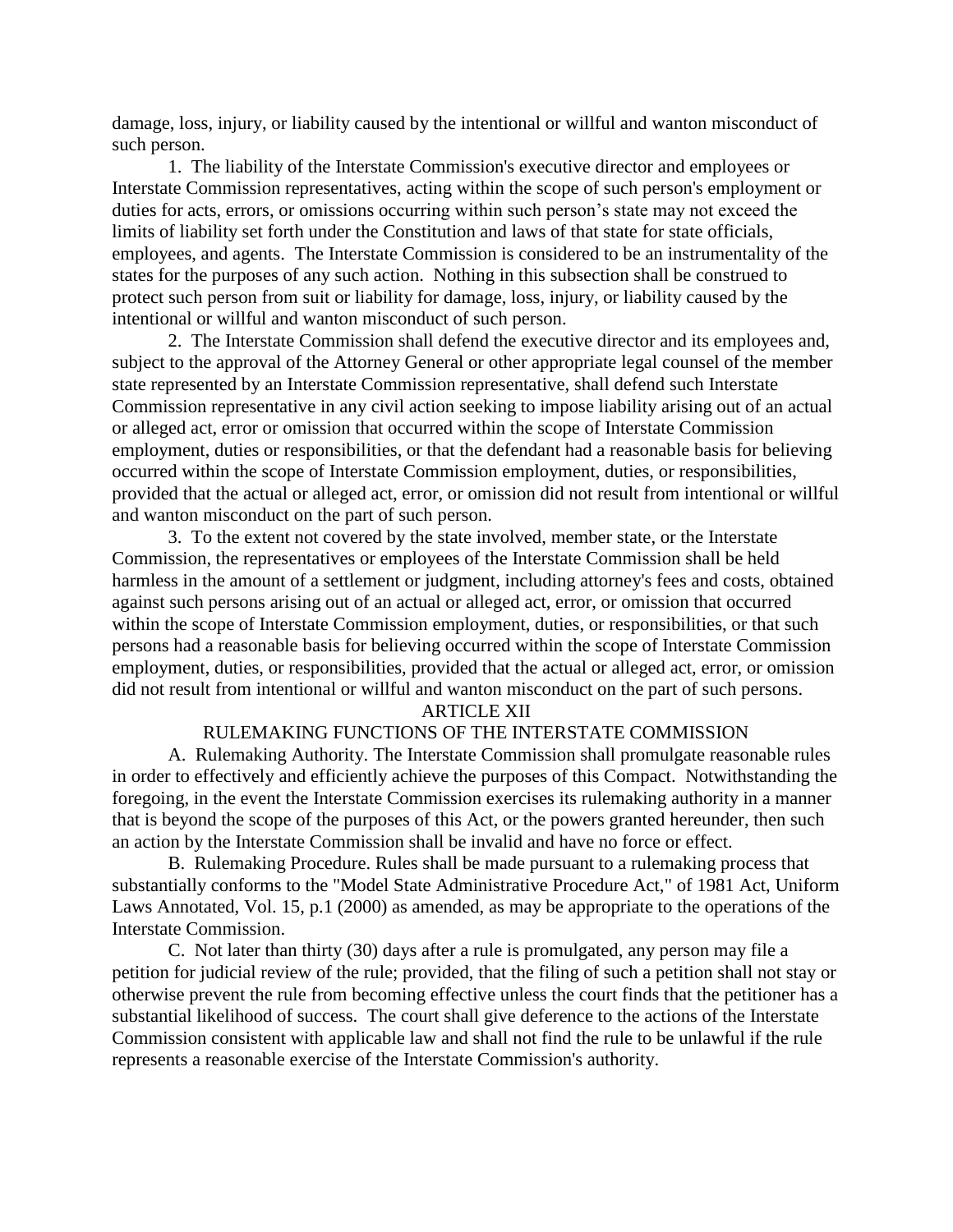damage, loss, injury, or liability caused by the intentional or willful and wanton misconduct of such person.

1. The liability of the Interstate Commission's executive director and employees or Interstate Commission representatives, acting within the scope of such person's employment or duties for acts, errors, or omissions occurring within such person's state may not exceed the limits of liability set forth under the Constitution and laws of that state for state officials, employees, and agents. The Interstate Commission is considered to be an instrumentality of the states for the purposes of any such action. Nothing in this subsection shall be construed to protect such person from suit or liability for damage, loss, injury, or liability caused by the intentional or willful and wanton misconduct of such person.

2. The Interstate Commission shall defend the executive director and its employees and, subject to the approval of the Attorney General or other appropriate legal counsel of the member state represented by an Interstate Commission representative, shall defend such Interstate Commission representative in any civil action seeking to impose liability arising out of an actual or alleged act, error or omission that occurred within the scope of Interstate Commission employment, duties or responsibilities, or that the defendant had a reasonable basis for believing occurred within the scope of Interstate Commission employment, duties, or responsibilities, provided that the actual or alleged act, error, or omission did not result from intentional or willful and wanton misconduct on the part of such person.

3. To the extent not covered by the state involved, member state, or the Interstate Commission, the representatives or employees of the Interstate Commission shall be held harmless in the amount of a settlement or judgment, including attorney's fees and costs, obtained against such persons arising out of an actual or alleged act, error, or omission that occurred within the scope of Interstate Commission employment, duties, or responsibilities, or that such persons had a reasonable basis for believing occurred within the scope of Interstate Commission employment, duties, or responsibilities, provided that the actual or alleged act, error, or omission did not result from intentional or willful and wanton misconduct on the part of such persons.

#### ARTICLE XII

#### RULEMAKING FUNCTIONS OF THE INTERSTATE COMMISSION

A. Rulemaking Authority. The Interstate Commission shall promulgate reasonable rules in order to effectively and efficiently achieve the purposes of this Compact. Notwithstanding the foregoing, in the event the Interstate Commission exercises its rulemaking authority in a manner that is beyond the scope of the purposes of this Act, or the powers granted hereunder, then such an action by the Interstate Commission shall be invalid and have no force or effect.

B. Rulemaking Procedure. Rules shall be made pursuant to a rulemaking process that substantially conforms to the "Model State Administrative Procedure Act," of 1981 Act, Uniform Laws Annotated, Vol. 15, p.1 (2000) as amended, as may be appropriate to the operations of the Interstate Commission.

C. Not later than thirty (30) days after a rule is promulgated, any person may file a petition for judicial review of the rule; provided, that the filing of such a petition shall not stay or otherwise prevent the rule from becoming effective unless the court finds that the petitioner has a substantial likelihood of success. The court shall give deference to the actions of the Interstate Commission consistent with applicable law and shall not find the rule to be unlawful if the rule represents a reasonable exercise of the Interstate Commission's authority.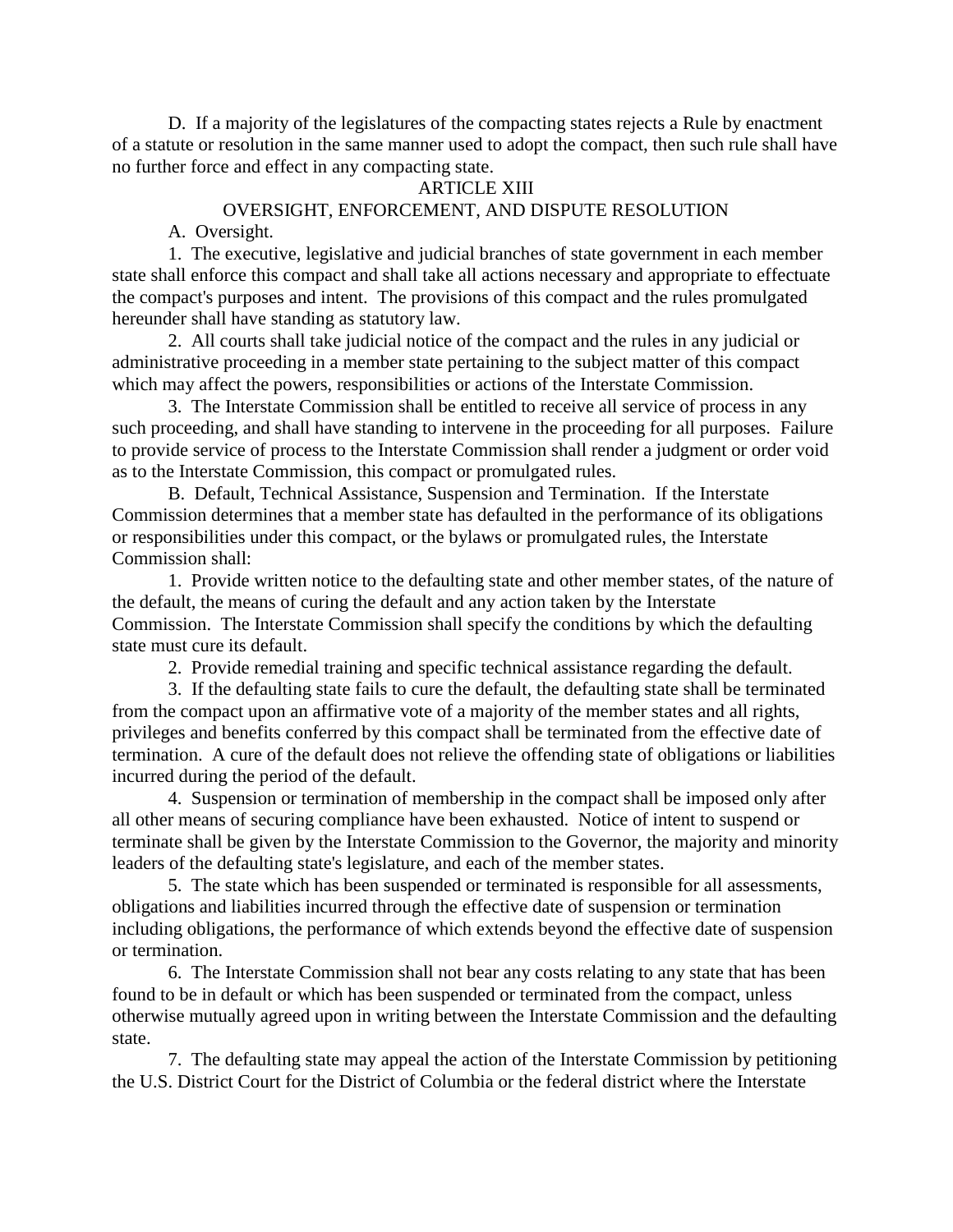D. If a majority of the legislatures of the compacting states rejects a Rule by enactment of a statute or resolution in the same manner used to adopt the compact, then such rule shall have no further force and effect in any compacting state.

### ARTICLE XIII

#### OVERSIGHT, ENFORCEMENT, AND DISPUTE RESOLUTION

A. Oversight.

1. The executive, legislative and judicial branches of state government in each member state shall enforce this compact and shall take all actions necessary and appropriate to effectuate the compact's purposes and intent. The provisions of this compact and the rules promulgated hereunder shall have standing as statutory law.

2. All courts shall take judicial notice of the compact and the rules in any judicial or administrative proceeding in a member state pertaining to the subject matter of this compact which may affect the powers, responsibilities or actions of the Interstate Commission.

3. The Interstate Commission shall be entitled to receive all service of process in any such proceeding, and shall have standing to intervene in the proceeding for all purposes. Failure to provide service of process to the Interstate Commission shall render a judgment or order void as to the Interstate Commission, this compact or promulgated rules.

B. Default, Technical Assistance, Suspension and Termination. If the Interstate Commission determines that a member state has defaulted in the performance of its obligations or responsibilities under this compact, or the bylaws or promulgated rules, the Interstate Commission shall:

1. Provide written notice to the defaulting state and other member states, of the nature of the default, the means of curing the default and any action taken by the Interstate Commission. The Interstate Commission shall specify the conditions by which the defaulting state must cure its default.

2. Provide remedial training and specific technical assistance regarding the default.

3. If the defaulting state fails to cure the default, the defaulting state shall be terminated from the compact upon an affirmative vote of a majority of the member states and all rights, privileges and benefits conferred by this compact shall be terminated from the effective date of termination. A cure of the default does not relieve the offending state of obligations or liabilities incurred during the period of the default.

4. Suspension or termination of membership in the compact shall be imposed only after all other means of securing compliance have been exhausted. Notice of intent to suspend or terminate shall be given by the Interstate Commission to the Governor, the majority and minority leaders of the defaulting state's legislature, and each of the member states.

5. The state which has been suspended or terminated is responsible for all assessments, obligations and liabilities incurred through the effective date of suspension or termination including obligations, the performance of which extends beyond the effective date of suspension or termination.

6. The Interstate Commission shall not bear any costs relating to any state that has been found to be in default or which has been suspended or terminated from the compact, unless otherwise mutually agreed upon in writing between the Interstate Commission and the defaulting state.

7. The defaulting state may appeal the action of the Interstate Commission by petitioning the U.S. District Court for the District of Columbia or the federal district where the Interstate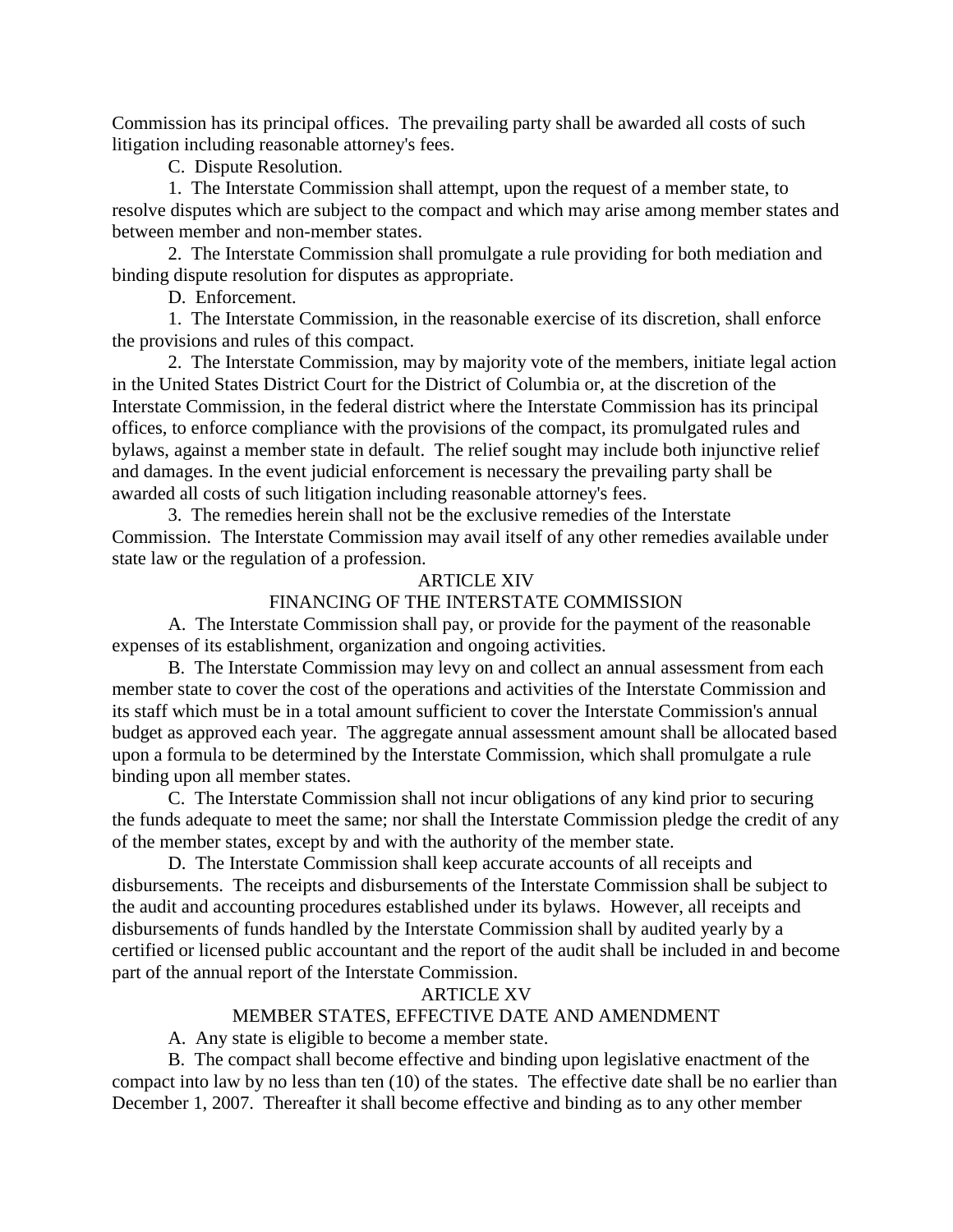Commission has its principal offices. The prevailing party shall be awarded all costs of such litigation including reasonable attorney's fees.

C. Dispute Resolution.

1. The Interstate Commission shall attempt, upon the request of a member state, to resolve disputes which are subject to the compact and which may arise among member states and between member and non-member states.

2. The Interstate Commission shall promulgate a rule providing for both mediation and binding dispute resolution for disputes as appropriate.

D. Enforcement.

1. The Interstate Commission, in the reasonable exercise of its discretion, shall enforce the provisions and rules of this compact.

2. The Interstate Commission, may by majority vote of the members, initiate legal action in the United States District Court for the District of Columbia or, at the discretion of the Interstate Commission, in the federal district where the Interstate Commission has its principal offices, to enforce compliance with the provisions of the compact, its promulgated rules and bylaws, against a member state in default. The relief sought may include both injunctive relief and damages. In the event judicial enforcement is necessary the prevailing party shall be awarded all costs of such litigation including reasonable attorney's fees.

3. The remedies herein shall not be the exclusive remedies of the Interstate Commission. The Interstate Commission may avail itself of any other remedies available under state law or the regulation of a profession.

# ARTICLE XIV

# FINANCING OF THE INTERSTATE COMMISSION

A. The Interstate Commission shall pay, or provide for the payment of the reasonable expenses of its establishment, organization and ongoing activities.

B. The Interstate Commission may levy on and collect an annual assessment from each member state to cover the cost of the operations and activities of the Interstate Commission and its staff which must be in a total amount sufficient to cover the Interstate Commission's annual budget as approved each year. The aggregate annual assessment amount shall be allocated based upon a formula to be determined by the Interstate Commission, which shall promulgate a rule binding upon all member states.

C. The Interstate Commission shall not incur obligations of any kind prior to securing the funds adequate to meet the same; nor shall the Interstate Commission pledge the credit of any of the member states, except by and with the authority of the member state.

D. The Interstate Commission shall keep accurate accounts of all receipts and disbursements. The receipts and disbursements of the Interstate Commission shall be subject to the audit and accounting procedures established under its bylaws. However, all receipts and disbursements of funds handled by the Interstate Commission shall by audited yearly by a certified or licensed public accountant and the report of the audit shall be included in and become part of the annual report of the Interstate Commission.

# ARTICLE XV

# MEMBER STATES, EFFECTIVE DATE AND AMENDMENT

A. Any state is eligible to become a member state.

B. The compact shall become effective and binding upon legislative enactment of the compact into law by no less than ten (10) of the states. The effective date shall be no earlier than December 1, 2007. Thereafter it shall become effective and binding as to any other member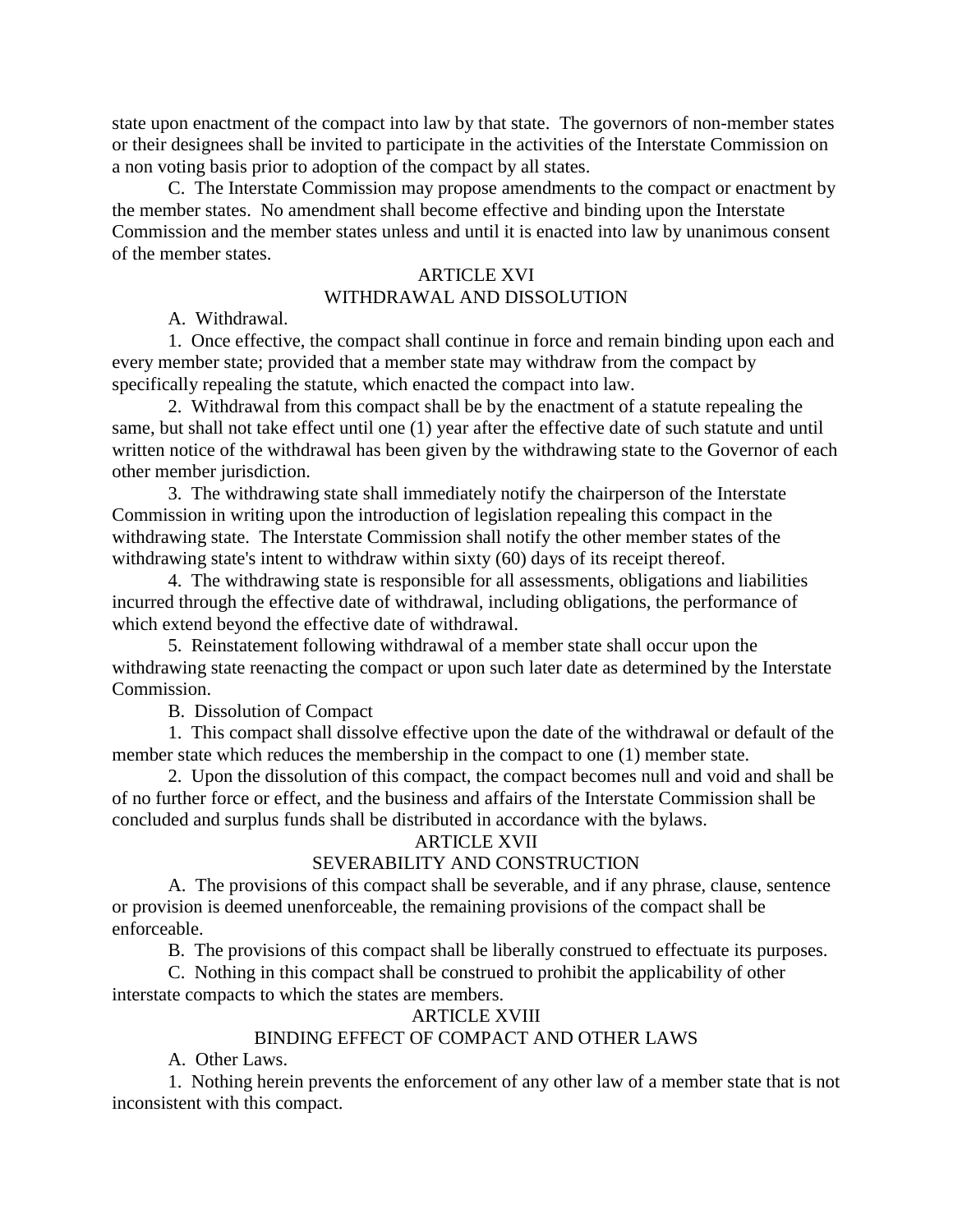state upon enactment of the compact into law by that state. The governors of non-member states or their designees shall be invited to participate in the activities of the Interstate Commission on a non voting basis prior to adoption of the compact by all states.

C. The Interstate Commission may propose amendments to the compact or enactment by the member states. No amendment shall become effective and binding upon the Interstate Commission and the member states unless and until it is enacted into law by unanimous consent of the member states.

### ARTICLE XVI

# WITHDRAWAL AND DISSOLUTION

A. Withdrawal.

1. Once effective, the compact shall continue in force and remain binding upon each and every member state; provided that a member state may withdraw from the compact by specifically repealing the statute, which enacted the compact into law.

2. Withdrawal from this compact shall be by the enactment of a statute repealing the same, but shall not take effect until one (1) year after the effective date of such statute and until written notice of the withdrawal has been given by the withdrawing state to the Governor of each other member jurisdiction.

3. The withdrawing state shall immediately notify the chairperson of the Interstate Commission in writing upon the introduction of legislation repealing this compact in the withdrawing state. The Interstate Commission shall notify the other member states of the withdrawing state's intent to withdraw within sixty (60) days of its receipt thereof.

4. The withdrawing state is responsible for all assessments, obligations and liabilities incurred through the effective date of withdrawal, including obligations, the performance of which extend beyond the effective date of withdrawal.

5. Reinstatement following withdrawal of a member state shall occur upon the withdrawing state reenacting the compact or upon such later date as determined by the Interstate Commission.

B. Dissolution of Compact

1. This compact shall dissolve effective upon the date of the withdrawal or default of the member state which reduces the membership in the compact to one (1) member state.

2. Upon the dissolution of this compact, the compact becomes null and void and shall be of no further force or effect, and the business and affairs of the Interstate Commission shall be concluded and surplus funds shall be distributed in accordance with the bylaws.

# ARTICLE XVII

# SEVERABILITY AND CONSTRUCTION

A. The provisions of this compact shall be severable, and if any phrase, clause, sentence or provision is deemed unenforceable, the remaining provisions of the compact shall be enforceable.

B. The provisions of this compact shall be liberally construed to effectuate its purposes.

C. Nothing in this compact shall be construed to prohibit the applicability of other interstate compacts to which the states are members.

# ARTICLE XVIII

# BINDING EFFECT OF COMPACT AND OTHER LAWS

A. Other Laws.

1. Nothing herein prevents the enforcement of any other law of a member state that is not inconsistent with this compact.